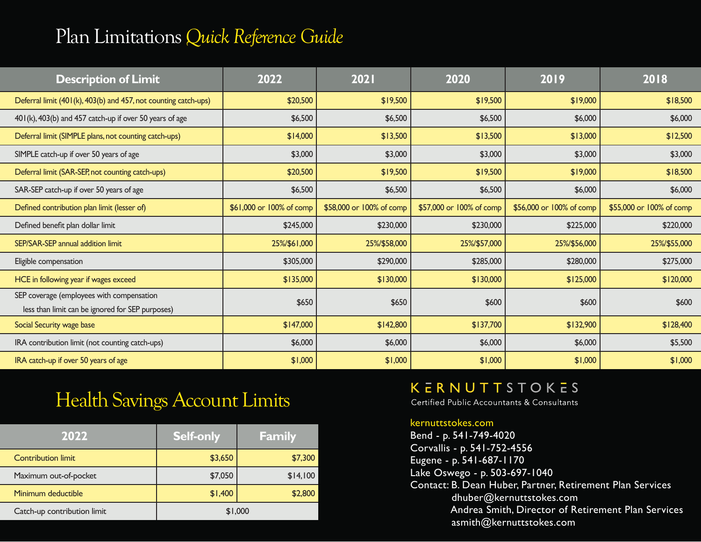# Plan Limitations *Quick Reference Guide*

| <b>Description of Limit</b>                                                                   | 2022                     | 2021                     | 2020                     | 2019                     | 2018                     |
|-----------------------------------------------------------------------------------------------|--------------------------|--------------------------|--------------------------|--------------------------|--------------------------|
| Deferral limit (401(k), 403(b) and 457, not counting catch-ups)                               | \$20,500                 | \$19,500                 | \$19,500                 | \$19,000                 | \$18,500                 |
| 401(k), 403(b) and 457 catch-up if over 50 years of age                                       | \$6,500                  | \$6,500                  | \$6,500                  | \$6,000                  | \$6,000                  |
| Deferral limit (SIMPLE plans, not counting catch-ups)                                         | \$14,000                 | \$13,500                 | \$13,500                 | \$13,000                 | \$12,500                 |
| SIMPLE catch-up if over 50 years of age                                                       | \$3,000                  | \$3,000                  | \$3,000                  | \$3,000                  | \$3,000                  |
| Deferral limit (SAR-SEP, not counting catch-ups)                                              | \$20,500                 | \$19,500                 | \$19,500                 | \$19,000                 | \$18,500                 |
| SAR-SEP catch-up if over 50 years of age                                                      | \$6,500                  | \$6,500                  | \$6,500                  | \$6,000                  | \$6,000                  |
| Defined contribution plan limit (lesser of)                                                   | \$61,000 or 100% of comp | \$58,000 or 100% of comp | \$57,000 or 100% of comp | \$56,000 or 100% of comp | \$55,000 or 100% of comp |
| Defined benefit plan dollar limit                                                             | \$245,000                | \$230,000                | \$230,000                | \$225,000                | \$220,000                |
| SEP/SAR-SEP annual addition limit                                                             | 25%/\$61,000             | 25%/\$58,000             | 25%/\$57,000             | 25%/\$56,000             | 25%/\$55,000             |
| Eligible compensation                                                                         | \$305,000                | \$290,000                | \$285,000                | \$280,000                | \$275,000                |
| HCE in following year if wages exceed                                                         | \$135,000                | \$130,000                | \$130,000                | \$125,000                | \$120,000                |
| SEP coverage (employees with compensation<br>less than limit can be ignored for SEP purposes) | \$650                    | \$650                    | \$600                    | \$600                    | \$600                    |
| Social Security wage base                                                                     | \$147,000                | \$142,800                | \$137,700                | \$132,900                | \$128,400                |
| IRA contribution limit (not counting catch-ups)                                               | \$6,000                  | \$6,000                  | \$6,000                  | \$6,000                  | \$5,500                  |
| IRA catch-up if over 50 years of age                                                          | \$1,000                  | \$1,000                  | \$1,000                  | \$1,000                  | \$1,000                  |

## Health Savings Account Limits

| 2022                        | <b>Self-only</b> | <b>Family</b> |
|-----------------------------|------------------|---------------|
| <b>Contribution limit</b>   | \$3,650          | \$7,300       |
| Maximum out-of-pocket       | \$7,050          | \$14,100      |
| Minimum deductible          | \$1,400          | \$2,800       |
| Catch-up contribution limit |                  | \$1,000       |

### **KERNUTTSTOKES**

Certified Public Accountants & Consultants

#### kernuttstokes.com

Bend - p. 541-749-4020 Corvallis - p. 541-752-4556 Eugene - p. 541-687-1170 Lake Oswego - p. 503-697-1040 Contact: B. Dean Huber, Partner, Retirement Plan Services dhuber@kernuttstokes.com Andrea Smith, Director of Retirement Plan Services asmith@kernuttstokes.com